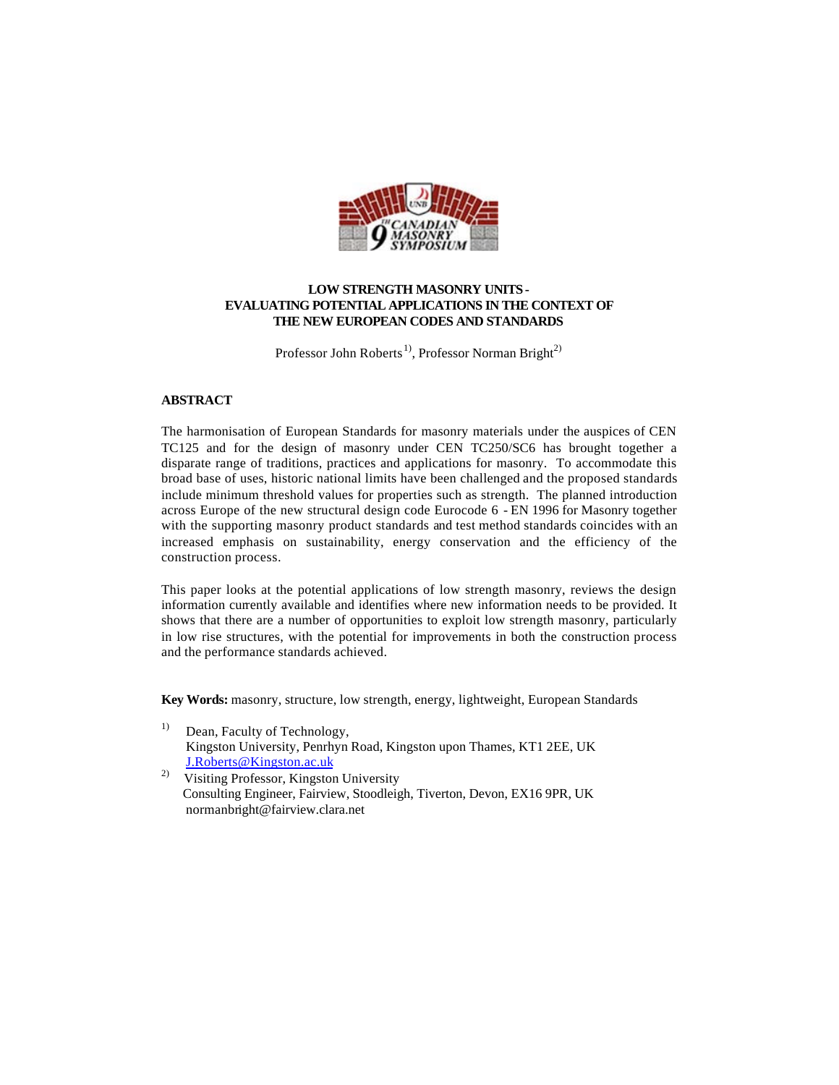

## **LOW STRENGTH MASONRY UNITS - EVALUATING POTENTIAL APPLICATIONS IN THE CONTEXT OF THE NEW EUROPEAN CODES AND STANDARDS**

Professor John Roberts<sup>1)</sup>, Professor Norman Bright<sup>2)</sup>

### **ABSTRACT**

The harmonisation of European Standards for masonry materials under the auspices of CEN TC125 and for the design of masonry under CEN TC250/SC6 has brought together a disparate range of traditions, practices and applications for masonry. To accommodate this broad base of uses, historic national limits have been challenged and the proposed standards include minimum threshold values for properties such as strength. The planned introduction across Europe of the new structural design code Eurocode 6 - EN 1996 for Masonry together with the supporting masonry product standards and test method standards coincides with an increased emphasis on sustainability, energy conservation and the efficiency of the construction process.

This paper looks at the potential applications of low strength masonry, reviews the design information currently available and identifies where new information needs to be provided. It shows that there are a number of opportunities to exploit low strength masonry, particularly in low rise structures, with the potential for improvements in both the construction process and the performance standards achieved.

**Key Words:** masonry, structure, low strength, energy, lightweight, European Standards

- <sup>1)</sup> Dean, Faculty of Technology, Kingston University, Penrhyn Road, Kingston upon Thames, KT1 2EE, UK J.Roberts@Kingston.ac.uk
- 2) Visiting Professor, Kingston University Consulting Engineer, Fairview, Stoodleigh, Tiverton, Devon, EX16 9PR, UK normanbright@fairview.clara.net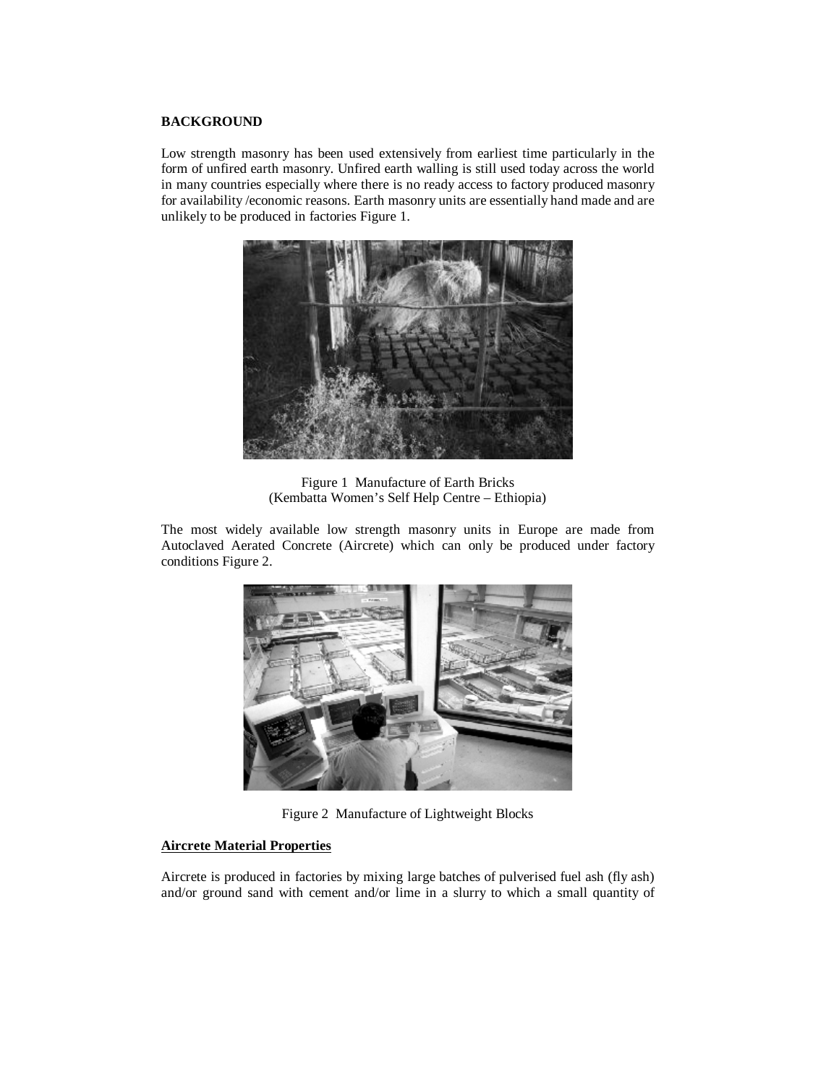## **BACKGROUND**

Low strength masonry has been used extensively from earliest time particularly in the form of unfired earth masonry. Unfired earth walling is still used today across the world in many countries especially where there is no ready access to factory produced masonry for availability /economic reasons. Earth masonry units are essentially hand made and are unlikely to be produced in factories Figure 1.



Figure 1 Manufacture of Earth Bricks (Kembatta Women's Self Help Centre – Ethiopia)

The most widely available low strength masonry units in Europe are made from Autoclaved Aerated Concrete (Aircrete) which can only be produced under factory conditions Figure 2.



Figure 2 Manufacture of Lightweight Blocks

## **Aircrete Material Properties**

Aircrete is produced in factories by mixing large batches of pulverised fuel ash (fly ash) and/or ground sand with cement and/or lime in a slurry to which a small quantity of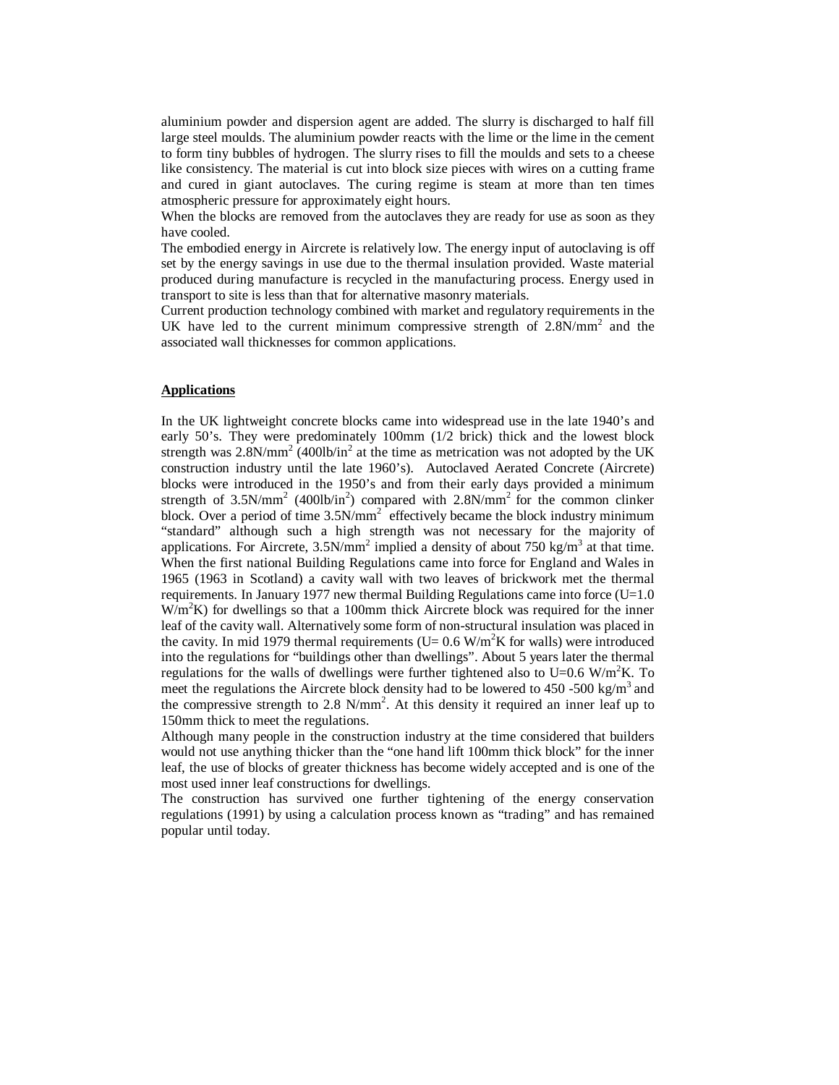aluminium powder and dispersion agent are added. The slurry is discharged to half fill large steel moulds. The aluminium powder reacts with the lime or the lime in the cement to form tiny bubbles of hydrogen. The slurry rises to fill the moulds and sets to a cheese like consistency. The material is cut into block size pieces with wires on a cutting frame and cured in giant autoclaves. The curing regime is steam at more than ten times atmospheric pressure for approximately eight hours.

When the blocks are removed from the autoclaves they are ready for use as soon as they have cooled.

The embodied energy in Aircrete is relatively low. The energy input of autoclaving is off set by the energy savings in use due to the thermal insulation provided. Waste material produced during manufacture is recycled in the manufacturing process. Energy used in transport to site is less than that for alternative masonry materials.

Current production technology combined with market and regulatory requirements in the UK have led to the current minimum compressive strength of  $2.8N/mm^2$  and the associated wall thicknesses for common applications.

#### **Applications**

In the UK lightweight concrete blocks came into widespread use in the late 1940's and early 50's. They were predominately 100mm (1/2 brick) thick and the lowest block strength was  $2.8$ N/mm<sup>2</sup> (400lb/in<sup>2</sup> at the time as metrication was not adopted by the UK construction industry until the late 1960's). Autoclaved Aerated Concrete (Aircrete) blocks were introduced in the 1950's and from their early days provided a minimum strength of  $3.5N/mm^2$  (400lb/in<sup>2</sup>) compared with  $2.8N/mm^2$  for the common clinker block. Over a period of time  $3.5N/mm^2$  effectively became the block industry minimum "standard" although such a high strength was not necessary for the majority of applications. For Aircrete,  $3.5N/mm^2$  implied a density of about 750 kg/m<sup>3</sup> at that time. When the first national Building Regulations came into force for England and Wales in 1965 (1963 in Scotland) a cavity wall with two leaves of brickwork met the thermal requirements. In January 1977 new thermal Building Regulations came into force  $(U=1.0$ W/m<sup>2</sup>K) for dwellings so that a 100mm thick Aircrete block was required for the inner leaf of the cavity wall. Alternatively some form of non-structural insulation was placed in the cavity. In mid 1979 thermal requirements (U=  $0.6 \text{ W/m}^2\text{K}$  for walls) were introduced into the regulations for "buildings other than dwellings". About 5 years later the thermal regulations for the walls of dwellings were further tightened also to U=0.6 W/m<sup>2</sup>K. To meet the regulations the Aircrete block density had to be lowered to 450 -500 kg/m<sup>3</sup> and the compressive strength to 2.8  $N/mm^2$ . At this density it required an inner leaf up to 150mm thick to meet the regulations.

Although many people in the construction industry at the time considered that builders would not use anything thicker than the "one hand lift 100mm thick block" for the inner leaf, the use of blocks of greater thickness has become widely accepted and is one of the most used inner leaf constructions for dwellings.

The construction has survived one further tightening of the energy conservation regulations (1991) by using a calculation process known as "trading" and has remained popular until today.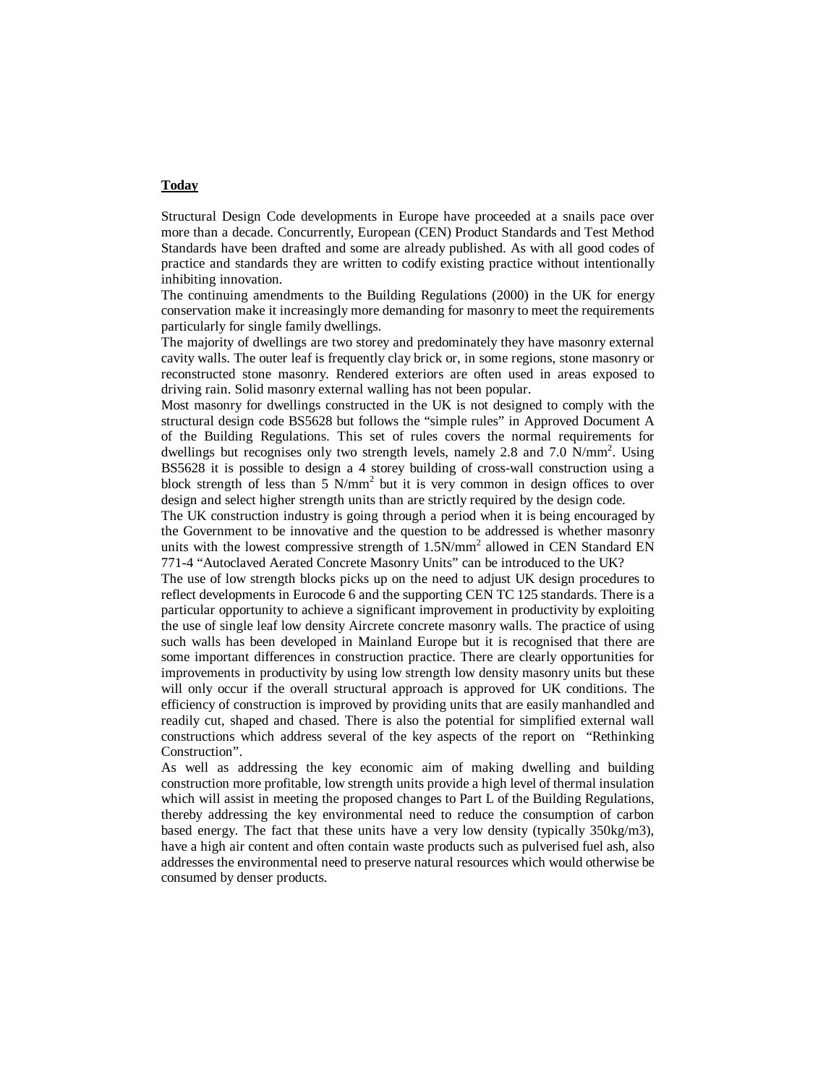## **Today**

Structural Design Code developments in Europe have proceeded at a snails pace over more than a decade. Concurrently, European (CEN) Product Standards and Test Method Standards have been drafted and some are already published. As with all good codes of practice and standards they are written to codify existing practice without intentionally inhibiting innovation*.* 

The continuing amendments to the Building Regulations (2000) in the UK for energy conservation make it increasingly more demanding for masonry to meet the requirements particularly for single family dwellings.

The majority of dwellings are two storey and predominately they have masonry external cavity walls. The outer leaf is frequently clay brick or, in some regions, stone masonry or reconstructed stone masonry. Rendered exteriors are often used in areas exposed to driving rain. Solid masonry external walling has not been popular.

Most masonry for dwellings constructed in the UK is not designed to comply with the structural design code BS5628 but follows the "simple rules" in Approved Document A of the Building Regulations. This set of rules covers the normal requirements for dwellings but recognises only two strength levels, namely 2.8 and 7.0 N/mm<sup>2</sup>. Using BS5628 it is possible to design a 4 storey building of cross-wall construction using a block strength of less than 5 N/mm<sup>2</sup> but it is very common in design offices to over design and select higher strength units than are strictly required by the design code.

The UK construction industry is going through a period when it is being encouraged by the Government to be innovative and the question to be addressed is whether masonry units with the lowest compressive strength of  $1.5N/mm^2$  allowed in CEN Standard EN 771-4 "Autoclaved Aerated Concrete Masonry Units" can be introduced to the UK?

The use of low strength blocks picks up on the need to adjust UK design procedures to reflect developments in Eurocode 6 and the supporting CEN TC 125 standards. There is a particular opportunity to achieve a significant improvement in productivity by exploiting the use of single leaf low density Aircrete concrete masonry walls. The practice of using such walls has been developed in Mainland Europe but it is recognised that there are some important differences in construction practice. There are clearly opportunities for improvements in productivity by using low strength low density masonry units but these will only occur if the overall structural approach is approved for UK conditions. The efficiency of construction is improved by providing units that are easily manhandled and readily cut, shaped and chased. There is also the potential for simplified external wall constructions which address several of the key aspects of the report on "Rethinking Construction".

As well as addressing the key economic aim of making dwelling and building construction more profitable, low strength units provide a high level of thermal insulation which will assist in meeting the proposed changes to Part L of the Building Regulations, thereby addressing the key environmental need to reduce the consumption of carbon based energy. The fact that these units have a very low density (typically 350kg/m3), have a high air content and often contain waste products such as pulverised fuel ash, also addresses the environmental need to preserve natural resources which would otherwise be consumed by denser products.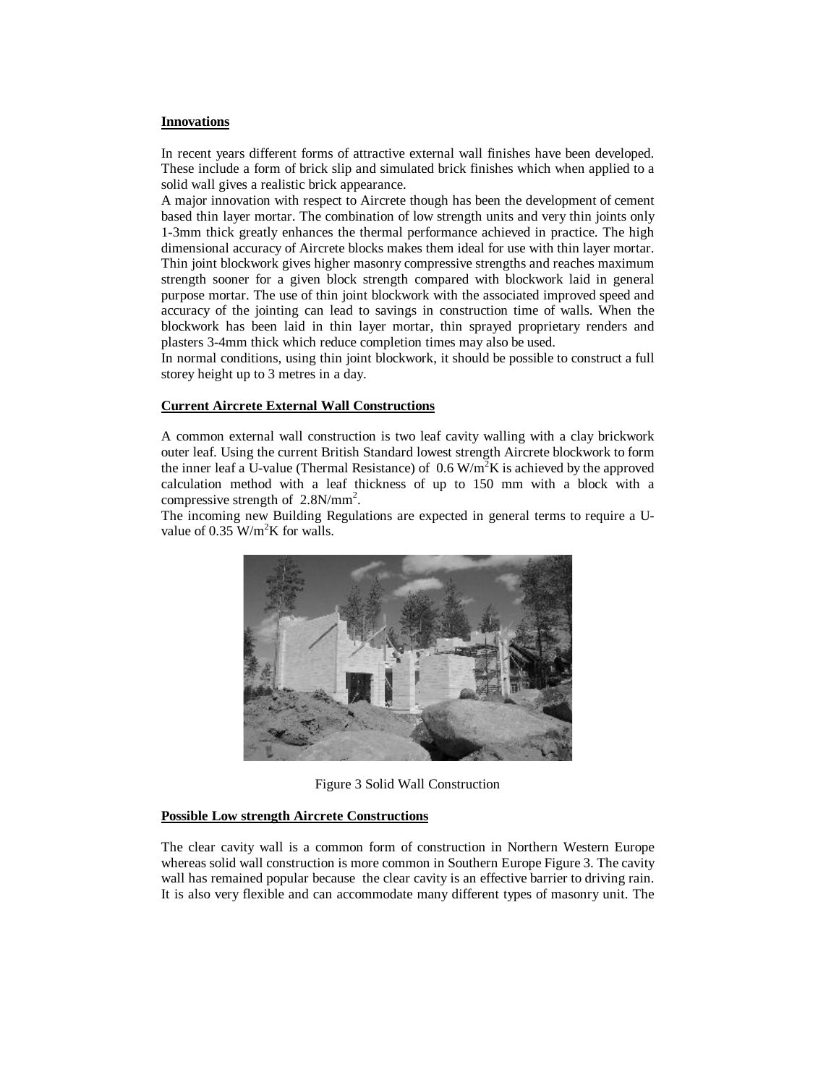#### **Innovations**

In recent years different forms of attractive external wall finishes have been developed. These include a form of brick slip and simulated brick finishes which when applied to a solid wall gives a realistic brick appearance.

A major innovation with respect to Aircrete though has been the development of cement based thin layer mortar. The combination of low strength units and very thin joints only 1-3mm thick greatly enhances the thermal performance achieved in practice. The high dimensional accuracy of Aircrete blocks makes them ideal for use with thin layer mortar. Thin joint blockwork gives higher masonry compressive strengths and reaches maximum strength sooner for a given block strength compared with blockwork laid in general purpose mortar. The use of thin joint blockwork with the associated improved speed and accuracy of the jointing can lead to savings in construction time of walls. When the blockwork has been laid in thin layer mortar, thin sprayed proprietary renders and plasters 3-4mm thick which reduce completion times may also be used.

In normal conditions, using thin joint blockwork, it should be possible to construct a full storey height up to 3 metres in a day.

## **Current Aircrete External Wall Constructions**

A common external wall construction is two leaf cavity walling with a clay brickwork outer leaf. Using the current British Standard lowest strength Aircrete blockwork to form the inner leaf a U-value (Thermal Resistance) of  $0.6 \text{ W/m}^2\text{K}$  is achieved by the approved calculation method with a leaf thickness of up to 150 mm with a block with a compressive strength of  $2.8N/mm^2$ .

The incoming new Building Regulations are expected in general terms to require a Uvalue of 0.35  $W/m^2K$  for walls.



Figure 3 Solid Wall Construction

#### **Possible Low strength Aircrete Constructions**

The clear cavity wall is a common form of construction in Northern Western Europe whereas solid wall construction is more common in Southern Europe Figure 3. The cavity wall has remained popular because the clear cavity is an effective barrier to driving rain. It is also very flexible and can accommodate many different types of masonry unit. The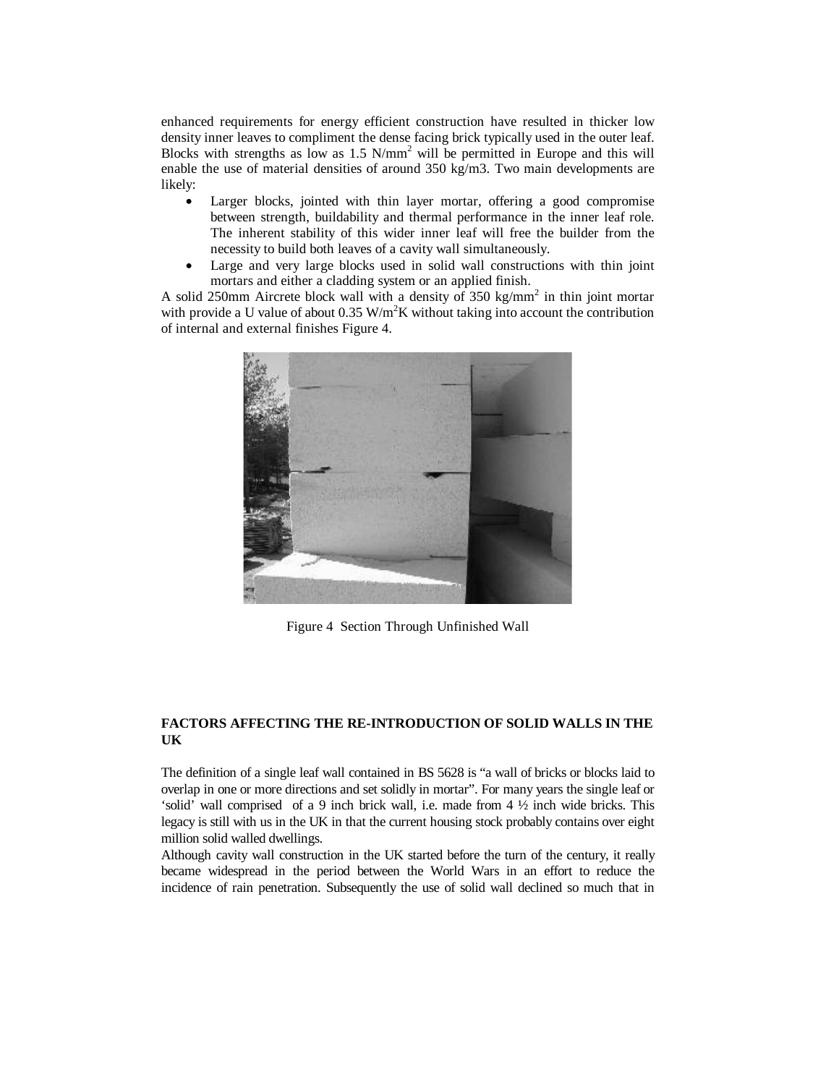enhanced requirements for energy efficient construction have resulted in thicker low density inner leaves to compliment the dense facing brick typically used in the outer leaf. Blocks with strengths as low as  $1.5 \text{ N/mm}^2$  will be permitted in Europe and this will enable the use of material densities of around 350 kg/m3. Two main developments are likely:

- Larger blocks, jointed with thin layer mortar, offering a good compromise between strength, buildability and thermal performance in the inner leaf role. The inherent stability of this wider inner leaf will free the builder from the necessity to build both leaves of a cavity wall simultaneously.
- Large and very large blocks used in solid wall constructions with thin joint mortars and either a cladding system or an applied finish.

A solid 250mm Aircrete block wall with a density of 350 kg/mm<sup>2</sup> in thin joint mortar with provide a U value of about  $0.35 \text{ W/m}^2\text{K}$  without taking into account the contribution of internal and external finishes Figure 4.



Figure 4 Section Through Unfinished Wall

## **FACTORS AFFECTING THE RE-INTRODUCTION OF SOLID WALLS IN THE UK**

The definition of a single leaf wall contained in BS 5628 is "a wall of bricks or blocks laid to overlap in one or more directions and set solidly in mortar". For many years the single leaf or 'solid' wall comprised of a 9 inch brick wall, i.e. made from 4 ½ inch wide bricks. This legacy is still with us in the UK in that the current housing stock probably contains over eight million solid walled dwellings.

Although cavity wall construction in the UK started before the turn of the century, it really became widespread in the period between the World Wars in an effort to reduce the incidence of rain penetration. Subsequently the use of solid wall declined so much that in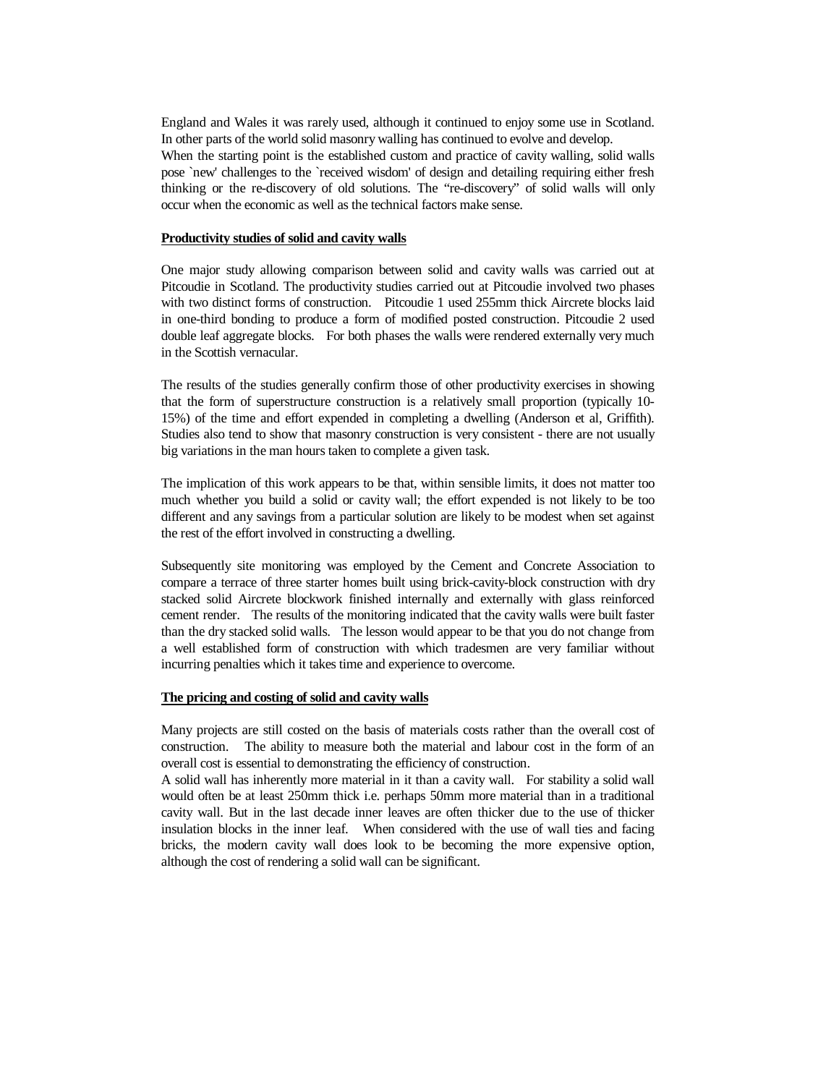England and Wales it was rarely used, although it continued to enjoy some use in Scotland. In other parts of the world solid masonry walling has continued to evolve and develop. When the starting point is the established custom and practice of cavity walling, solid walls pose `new' challenges to the `received wisdom' of design and detailing requiring either fresh thinking or the re-discovery of old solutions. The "re-discovery" of solid walls will only occur when the economic as well as the technical factors make sense.

#### **Productivity studies of solid and cavity walls**

One major study allowing comparison between solid and cavity walls was carried out at Pitcoudie in Scotland. The productivity studies carried out at Pitcoudie involved two phases with two distinct forms of construction. Pitcoudie 1 used 255mm thick Aircrete blocks laid in one-third bonding to produce a form of modified posted construction. Pitcoudie 2 used double leaf aggregate blocks. For both phases the walls were rendered externally very much in the Scottish vernacular.

The results of the studies generally confirm those of other productivity exercises in showing that the form of superstructure construction is a relatively small proportion (typically 10- 15%) of the time and effort expended in completing a dwelling (Anderson et al, Griffith). Studies also tend to show that masonry construction is very consistent - there are not usually big variations in the man hours taken to complete a given task.

The implication of this work appears to be that, within sensible limits, it does not matter too much whether you build a solid or cavity wall; the effort expended is not likely to be too different and any savings from a particular solution are likely to be modest when set against the rest of the effort involved in constructing a dwelling.

Subsequently site monitoring was employed by the Cement and Concrete Association to compare a terrace of three starter homes built using brick-cavity-block construction with dry stacked solid Aircrete blockwork finished internally and externally with glass reinforced cement render. The results of the monitoring indicated that the cavity walls were built faster than the dry stacked solid walls. The lesson would appear to be that you do not change from a well established form of construction with which tradesmen are very familiar without incurring penalties which it takes time and experience to overcome.

#### **The pricing and costing of solid and cavity walls**

Many projects are still costed on the basis of materials costs rather than the overall cost of construction. The ability to measure both the material and labour cost in the form of an overall cost is essential to demonstrating the efficiency of construction.

A solid wall has inherently more material in it than a cavity wall. For stability a solid wall would often be at least 250mm thick i.e. perhaps 50mm more material than in a traditional cavity wall. But in the last decade inner leaves are often thicker due to the use of thicker insulation blocks in the inner leaf. When considered with the use of wall ties and facing bricks, the modern cavity wall does look to be becoming the more expensive option, although the cost of rendering a solid wall can be significant.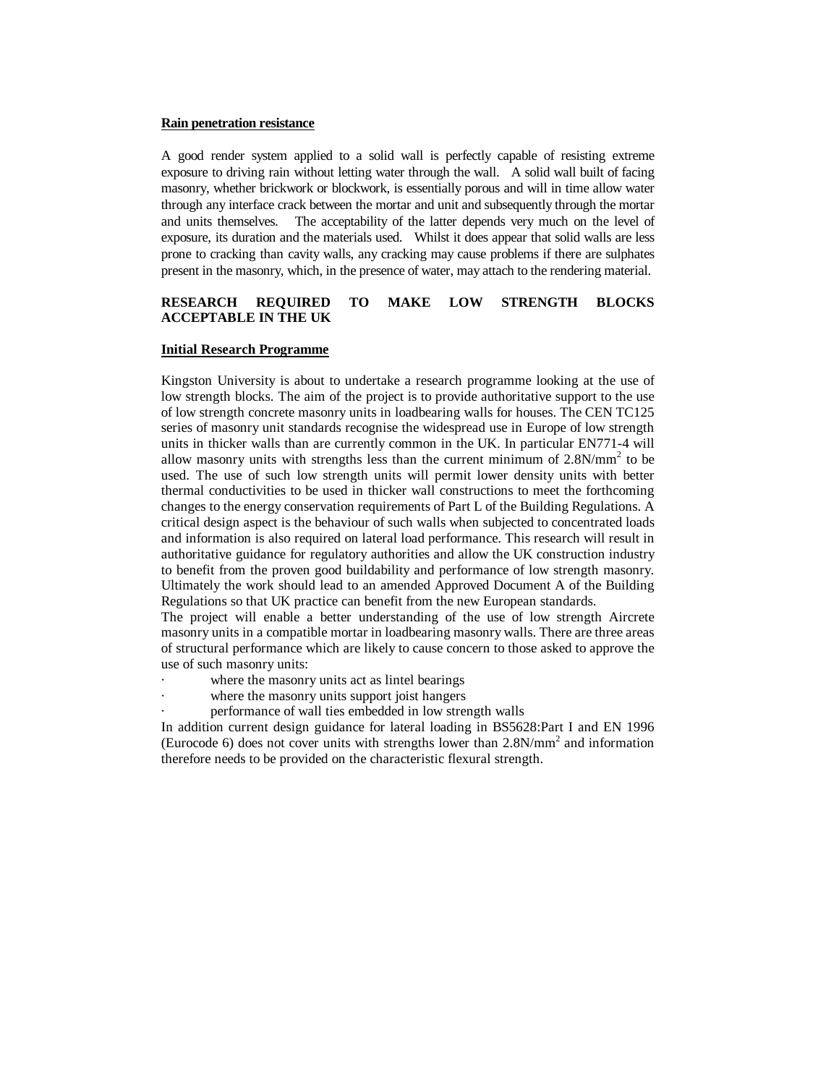#### **Rain penetration resistance**

A good render system applied to a solid wall is perfectly capable of resisting extreme exposure to driving rain without letting water through the wall. A solid wall built of facing masonry, whether brickwork or blockwork, is essentially porous and will in time allow water through any interface crack between the mortar and unit and subsequently through the mortar and units themselves. The acceptability of the latter depends very much on the level of exposure, its duration and the materials used. Whilst it does appear that solid walls are less prone to cracking than cavity walls, any cracking may cause problems if there are sulphates present in the masonry, which, in the presence of water, may attach to the rendering material.

## **RESEARCH REQUIRED TO MAKE LOW STRENGTH BLOCKS ACCEPTABLE IN THE UK**

### **Initial Research Programme**

Kingston University is about to undertake a research programme looking at the use of low strength blocks. The aim of the project is to provide authoritative support to the use of low strength concrete masonry units in loadbearing walls for houses. The CEN TC125 series of masonry unit standards recognise the widespread use in Europe of low strength units in thicker walls than are currently common in the UK. In particular EN771-4 will allow masonry units with strengths less than the current minimum of  $2.8N/mm^2$  to be used. The use of such low strength units will permit lower density units with better thermal conductivities to be used in thicker wall constructions to meet the forthcoming changes to the energy conservation requirements of Part L of the Building Regulations. A critical design aspect is the behaviour of such walls when subjected to concentrated loads and information is also required on lateral load performance. This research will result in authoritative guidance for regulatory authorities and allow the UK construction industry to benefit from the proven good buildability and performance of low strength masonry. Ultimately the work should lead to an amended Approved Document A of the Building Regulations so that UK practice can benefit from the new European standards.

The project will enable a better understanding of the use of low strength Aircrete masonry units in a compatible mortar in loadbearing masonry walls. There are three areas of structural performance which are likely to cause concern to those asked to approve the use of such masonry units:

- where the masonry units act as lintel bearings
- where the masonry units support joist hangers
- performance of wall ties embedded in low strength walls

In addition current design guidance for lateral loading in BS5628:Part I and EN 1996 (Eurocode 6) does not cover units with strengths lower than  $2.8N/mm<sup>2</sup>$  and information therefore needs to be provided on the characteristic flexural strength.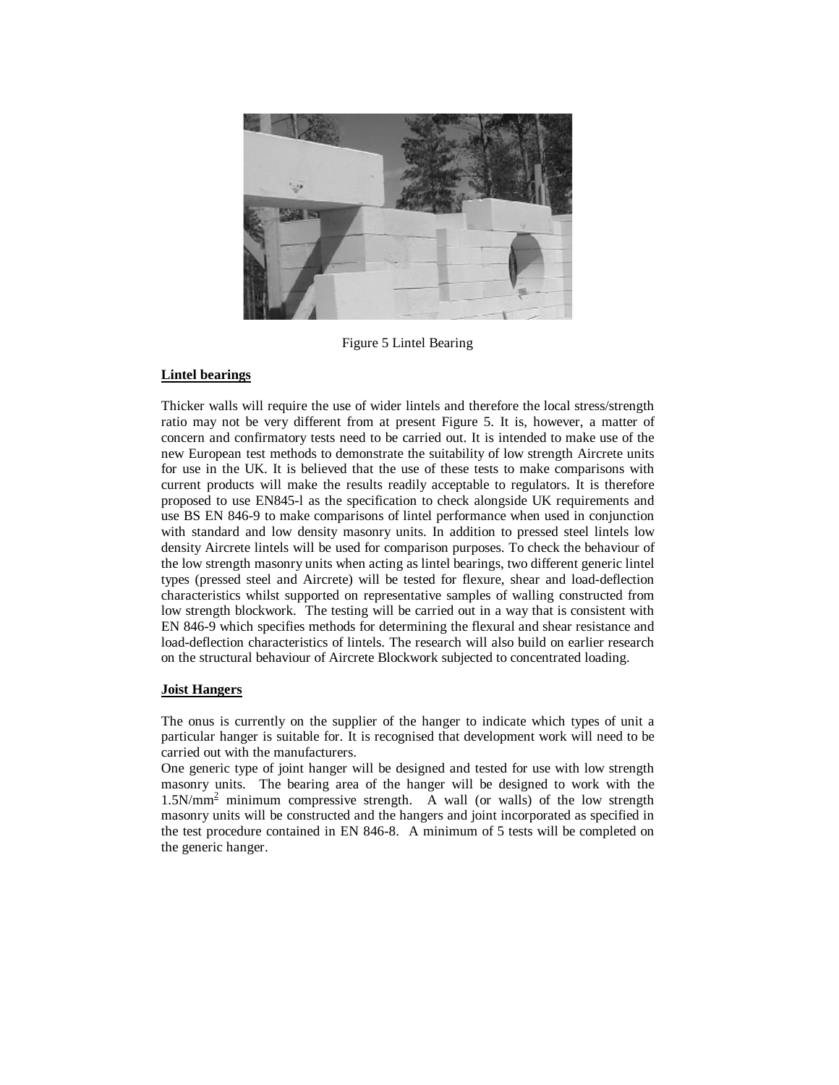

Figure 5 Lintel Bearing

## **Lintel bearings**

Thicker walls will require the use of wider lintels and therefore the local stress/strength ratio may not be very different from at present Figure 5. It is, however, a matter of concern and confirmatory tests need to be carried out. It is intended to make use of the new European test methods to demonstrate the suitability of low strength Aircrete units for use in the UK. It is believed that the use of these tests to make comparisons with current products will make the results readily acceptable to regulators. It is therefore proposed to use EN845-l as the specification to check alongside UK requirements and use BS EN 846-9 to make comparisons of lintel performance when used in conjunction with standard and low density masonry units. In addition to pressed steel lintels low density Aircrete lintels will be used for comparison purposes. To check the behaviour of the low strength masonry units when acting as lintel bearings, two different generic lintel types (pressed steel and Aircrete) will be tested for flexure, shear and load-deflection characteristics whilst supported on representative samples of walling constructed from low strength blockwork. The testing will be carried out in a way that is consistent with EN 846-9 which specifies methods for determining the flexural and shear resistance and load-deflection characteristics of lintels. The research will also build on earlier research on the structural behaviour of Aircrete Blockwork subjected to concentrated loading.

# **Joist Hangers**

The onus is currently on the supplier of the hanger to indicate which types of unit a particular hanger is suitable for. It is recognised that development work will need to be carried out with the manufacturers.

One generic type of joint hanger will be designed and tested for use with low strength masonry units. The bearing area of the hanger will be designed to work with the 1.5N/mm<sup>2</sup> minimum compressive strength. A wall (or walls) of the low strength masonry units will be constructed and the hangers and joint incorporated as specified in the test procedure contained in EN 846-8. A minimum of 5 tests will be completed on the generic hanger.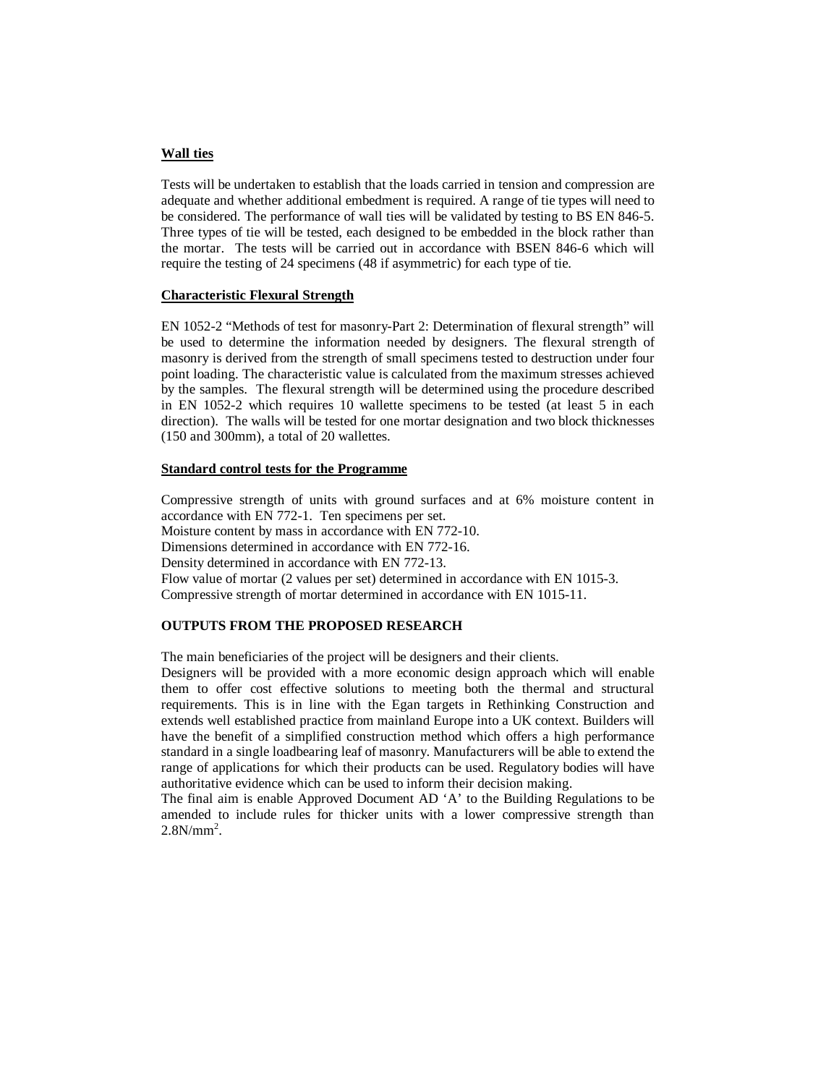### **Wall ties**

Tests will be undertaken to establish that the loads carried in tension and compression are adequate and whether additional embedment is required. A range of tie types will need to be considered. The performance of wall ties will be validated by testing to BS EN 846-5. Three types of tie will be tested, each designed to be embedded in the block rather than the mortar. The tests will be carried out in accordance with BSEN 846-6 which will require the testing of 24 specimens (48 if asymmetric) for each type of tie.

### **Characteristic Flexural Strength**

EN 1052-2 "Methods of test for masonry-Part 2: Determination of flexural strength" will be used to determine the information needed by designers. The flexural strength of masonry is derived from the strength of small specimens tested to destruction under four point loading. The characteristic value is calculated from the maximum stresses achieved by the samples. The flexural strength will be determined using the procedure described in EN 1052-2 which requires 10 wallette specimens to be tested (at least 5 in each direction). The walls will be tested for one mortar designation and two block thicknesses (150 and 300mm), a total of 20 wallettes.

### **Standard control tests for the Programme**

Compressive strength of units with ground surfaces and at 6% moisture content in accordance with EN 772-1. Ten specimens per set. Moisture content by mass in accordance with EN 772-10. Dimensions determined in accordance with EN 772-16. Density determined in accordance with EN 772-13. Flow value of mortar (2 values per set) determined in accordance with EN 1015-3. Compressive strength of mortar determined in accordance with EN 1015-11.

## **OUTPUTS FROM THE PROPOSED RESEARCH**

The main beneficiaries of the project will be designers and their clients.

Designers will be provided with a more economic design approach which will enable them to offer cost effective solutions to meeting both the thermal and structural requirements. This is in line with the Egan targets in Rethinking Construction and extends well established practice from mainland Europe into a UK context. Builders will have the benefit of a simplified construction method which offers a high performance standard in a single loadbearing leaf of masonry. Manufacturers will be able to extend the range of applications for which their products can be used. Regulatory bodies will have authoritative evidence which can be used to inform their decision making.

The final aim is enable Approved Document AD 'A' to the Building Regulations to be amended to include rules for thicker units with a lower compressive strength than  $2.8N/mm^2$ .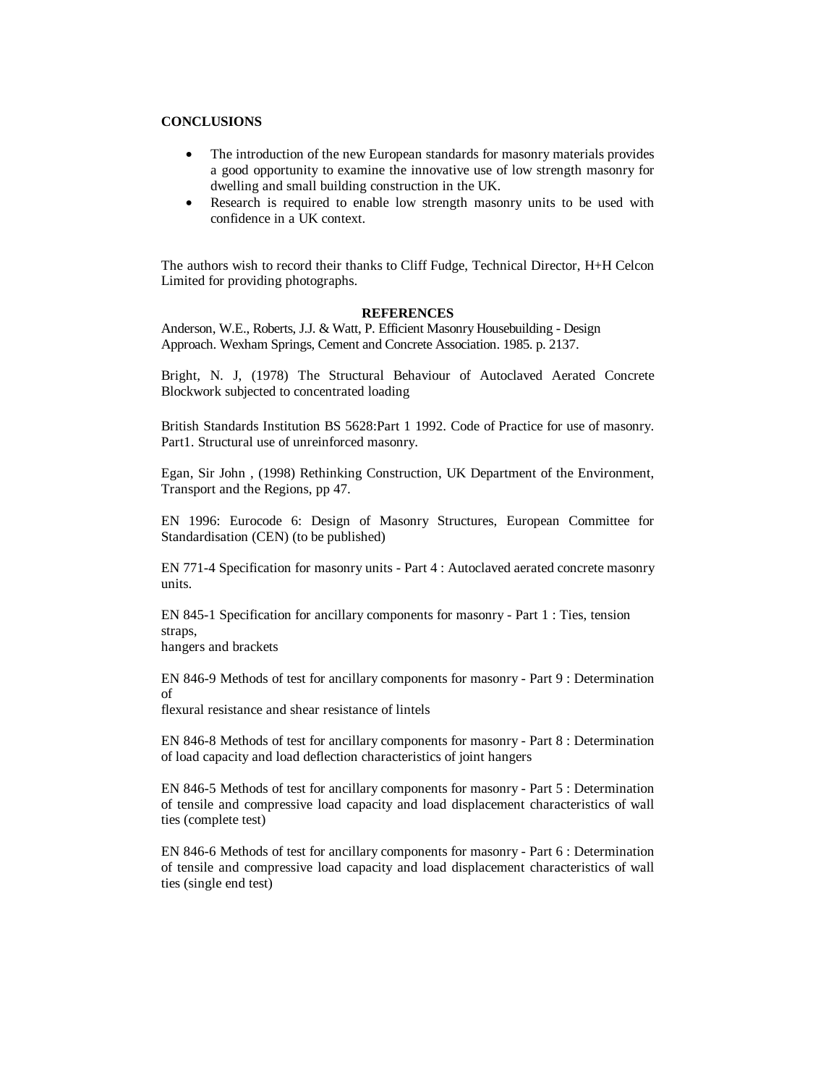# **CONCLUSIONS**

- The introduction of the new European standards for masonry materials provides a good opportunity to examine the innovative use of low strength masonry for dwelling and small building construction in the UK.
- Research is required to enable low strength masonry units to be used with confidence in a UK context.

The authors wish to record their thanks to Cliff Fudge, Technical Director, H+H Celcon Limited for providing photographs.

#### **REFERENCES**

Anderson, W.E., Roberts, J.J. & Watt, P. Efficient Masonry Housebuilding - Design Approach. Wexham Springs, Cement and Concrete Association. 1985. p. 2137.

Bright, N. J, (1978) The Structural Behaviour of Autoclaved Aerated Concrete Blockwork subjected to concentrated loading

British Standards Institution BS 5628:Part 1 1992. Code of Practice for use of masonry. Part1. Structural use of unreinforced masonry.

Egan, Sir John , (1998) Rethinking Construction, UK Department of the Environment, Transport and the Regions, pp 47.

EN 1996: Eurocode 6: Design of Masonry Structures, European Committee for Standardisation (CEN) (to be published)

EN 771-4 Specification for masonry units - Part 4 : Autoclaved aerated concrete masonry units.

EN 845-1 Specification for ancillary components for masonry - Part 1 : Ties, tension straps,

hangers and brackets

EN 846-9 Methods of test for ancillary components for masonry - Part 9 : Determination of

flexural resistance and shear resistance of lintels

EN 846-8 Methods of test for ancillary components for masonry - Part 8 : Determination of load capacity and load deflection characteristics of joint hangers

EN 846-5 Methods of test for ancillary components for masonry - Part 5 : Determination of tensile and compressive load capacity and load displacement characteristics of wall ties (complete test)

EN 846-6 Methods of test for ancillary components for masonry - Part 6 : Determination of tensile and compressive load capacity and load displacement characteristics of wall ties (single end test)